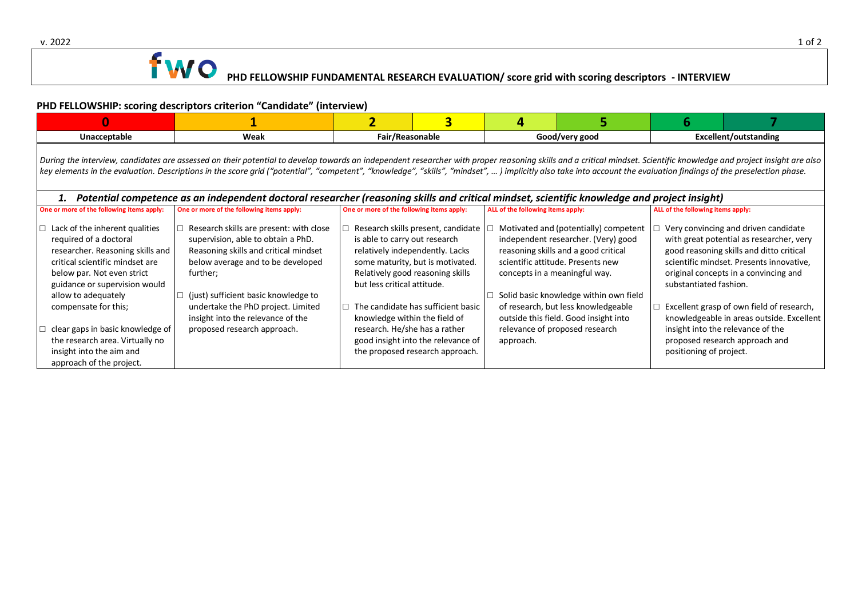

## **PHD FELLOWSHIP: scoring descriptors criterion "Candidate" (interview)**

| Unacceptable                                                                                                                                                                                                         | Weak | Fair/Reasonable |  | Good/very good |  | Excellent/outstanding |  |  |
|----------------------------------------------------------------------------------------------------------------------------------------------------------------------------------------------------------------------|------|-----------------|--|----------------|--|-----------------------|--|--|
| During the interview, candidates are assessed on their potential to develop towards an independent researcher with proper reasoning skills and a critical mindset. Scientific knowledge and project insight are also |      |                 |  |                |  |                       |  |  |

key elements in the evaluation. Descriptions in the score grid ("potential", "competent", "knowledge", "skills", "mindset", … ) implicitly also take into account the evaluation findings of the preselection phase.

| Potential competence as an independent doctoral researcher (reasoning skills and critical mindset, scientific knowledge and project insight)                                                                                                  |                                                                                                                                                                                                                                                                                            |                                                                                                                                                                                                                                                                                      |                                                                                                                                                                                                                                                                                                                      |                                                                                                                                                                                                                                                                                                                                       |  |  |  |
|-----------------------------------------------------------------------------------------------------------------------------------------------------------------------------------------------------------------------------------------------|--------------------------------------------------------------------------------------------------------------------------------------------------------------------------------------------------------------------------------------------------------------------------------------------|--------------------------------------------------------------------------------------------------------------------------------------------------------------------------------------------------------------------------------------------------------------------------------------|----------------------------------------------------------------------------------------------------------------------------------------------------------------------------------------------------------------------------------------------------------------------------------------------------------------------|---------------------------------------------------------------------------------------------------------------------------------------------------------------------------------------------------------------------------------------------------------------------------------------------------------------------------------------|--|--|--|
| One or more of the following items apply:                                                                                                                                                                                                     | One or more of the following items apply:                                                                                                                                                                                                                                                  | One or more of the following items apply:                                                                                                                                                                                                                                            | ALL of the following items apply:                                                                                                                                                                                                                                                                                    | ALL of the following items apply:                                                                                                                                                                                                                                                                                                     |  |  |  |
| Lack of the inherent qualities<br>required of a doctoral<br>researcher. Reasoning skills and<br>critical scientific mindset are<br>below par. Not even strict<br>guidance or supervision would<br>allow to adequately<br>compensate for this; | Research skills are present: with close<br>supervision, able to obtain a PhD.<br>Reasoning skills and critical mindset<br>below average and to be developed<br>further;<br>(just) sufficient basic knowledge to<br>undertake the PhD project. Limited<br>insight into the relevance of the | Research skills present, candidate<br>is able to carry out research<br>relatively independently. Lacks<br>some maturity, but is motivated.<br>Relatively good reasoning skills<br>but less critical attitude.<br>The candidate has sufficient basic<br>knowledge within the field of | Motivated and (potentially) competent<br>independent researcher. (Very) good<br>reasoning skills and a good critical<br>scientific attitude. Presents new<br>concepts in a meaningful way.<br>Solid basic knowledge within own field<br>of research, but less knowledgeable<br>outside this field. Good insight into | Very convincing and driven candidate<br>with great potential as researcher, very<br>good reasoning skills and ditto critical<br>scientific mindset. Presents innovative.<br>original concepts in a convincing and<br>substantiated fashion.<br>Excellent grasp of own field of research,<br>knowledgeable in areas outside. Excellent |  |  |  |
| clear gaps in basic knowledge of<br>the research area. Virtually no<br>insight into the aim and<br>approach of the project.                                                                                                                   | proposed research approach.                                                                                                                                                                                                                                                                | research. He/she has a rather<br>good insight into the relevance of<br>the proposed research approach.                                                                                                                                                                               | relevance of proposed research<br>approach.                                                                                                                                                                                                                                                                          | insight into the relevance of the<br>proposed research approach and<br>positioning of project.                                                                                                                                                                                                                                        |  |  |  |